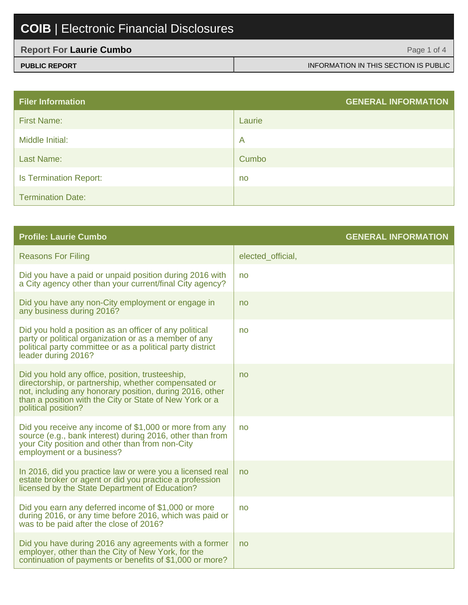| <b>Report For Laurie Cumbo</b> | Page 1 of 4                           |
|--------------------------------|---------------------------------------|
| <b>PUBLIC REPORT</b>           | INFORMATION IN THIS SECTION IS PUBLIC |

| <b>Filer Information</b>      | <b>GENERAL INFORMATION</b> |
|-------------------------------|----------------------------|
| <b>First Name:</b>            | Laurie                     |
| Middle Initial:               | $\overline{\mathsf{A}}$    |
| Last Name:                    | Cumbo                      |
| <b>Is Termination Report:</b> | no                         |
| <b>Termination Date:</b>      |                            |

| <b>Profile: Laurie Cumbo</b>                                                                                                                                                                                                                          | <b>GENERAL INFORMATION</b> |
|-------------------------------------------------------------------------------------------------------------------------------------------------------------------------------------------------------------------------------------------------------|----------------------------|
| <b>Reasons For Filing</b>                                                                                                                                                                                                                             | elected_official,          |
| Did you have a paid or unpaid position during 2016 with<br>a City agency other than your current/final City agency?                                                                                                                                   | no                         |
| Did you have any non-City employment or engage in<br>any business during 2016?                                                                                                                                                                        | no                         |
| Did you hold a position as an officer of any political<br>party or political organization or as a member of any<br>political party committee or as a political party district<br>leader during 2016?                                                  | no                         |
| Did you hold any office, position, trusteeship,<br>directorship, or partnership, whether compensated or<br>not, including any honorary position, during 2016, other<br>than a position with the City or State of New York or a<br>political position? | no                         |
| Did you receive any income of \$1,000 or more from any<br>source (e.g., bank interest) during 2016, other than from<br>your City position and other than from non-City<br>employment or a business?                                                   | no                         |
| In 2016, did you practice law or were you a licensed real<br>estate broker or agent or did you practice a profession<br>licensed by the State Department of Education?                                                                                | no                         |
| Did you earn any deferred income of \$1,000 or more<br>during 2016, or any time before 2016, which was paid or<br>was to be paid after the close of 2016?                                                                                             | no                         |
| Did you have during 2016 any agreements with a former<br>employer, other than the City of New York, for the<br>continuation of payments or benefits of \$1,000 or more?                                                                               | no                         |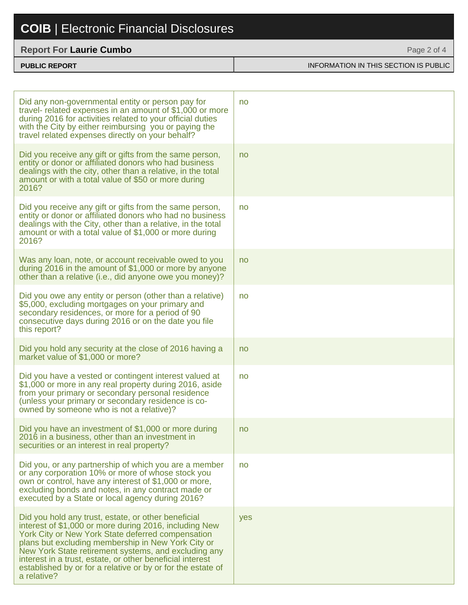#### **Report For Laurie Cumbo**

| <b>PUBLIC REPORT</b> | INFORMATION IN THIS SECTION IS PUBLIC |
|----------------------|---------------------------------------|

Page 2 of 4

| Did any non-governmental entity or person pay for<br>travel- related expenses in an amount of \$1,000 or more<br>during 2016 for activities related to your official duties<br>with the City by either reimbursing you or paying the<br>travel related expenses directly on your behalf?                                                                                                                                    | no  |
|-----------------------------------------------------------------------------------------------------------------------------------------------------------------------------------------------------------------------------------------------------------------------------------------------------------------------------------------------------------------------------------------------------------------------------|-----|
| Did you receive any gift or gifts from the same person,<br>entity or donor or affiliated donors who had business<br>dealings with the city, other than a relative, in the total<br>amount or with a total value of \$50 or more during<br>2016?                                                                                                                                                                             | no  |
| Did you receive any gift or gifts from the same person,<br>entity or donor or affiliated donors who had no business<br>dealings with the City, other than a relative, in the total<br>amount or with a total value of \$1,000 or more during<br>2016?                                                                                                                                                                       | no  |
| Was any loan, note, or account receivable owed to you<br>during 2016 in the amount of \$1,000 or more by anyone<br>other than a relative (i.e., did anyone owe you money)?                                                                                                                                                                                                                                                  | no  |
| Did you owe any entity or person (other than a relative)<br>\$5,000, excluding mortgages on your primary and<br>secondary residences, or more for a period of 90<br>consecutive days during 2016 or on the date you file<br>this report?                                                                                                                                                                                    | no  |
| Did you hold any security at the close of 2016 having a<br>market value of \$1,000 or more?                                                                                                                                                                                                                                                                                                                                 | no  |
| Did you have a vested or contingent interest valued at<br>\$1,000 or more in any real property during 2016, aside<br>from your primary or secondary personal residence<br>(unless your primary or secondary residence is co-<br>owned by someone who is not a relative)?                                                                                                                                                    | no  |
| Did you have an investment of \$1,000 or more during<br>2016 in a business, other than an investment in<br>securities or an interest in real property?                                                                                                                                                                                                                                                                      | no  |
| Did you, or any partnership of which you are a member<br>or any corporation 10% or more of whose stock you<br>own or control, have any interest of \$1,000 or more,<br>excluding bonds and notes, in any contract made or<br>executed by a State or local agency during 2016?                                                                                                                                               | no  |
| Did you hold any trust, estate, or other beneficial<br>interest of \$1,000 or more during 2016, including New<br>York City or New York State deferred compensation<br>plans but excluding membership in New York City or<br>New York State retirement systems, and excluding any<br>interest in a trust, estate, or other beneficial interest<br>established by or for a relative or by or for the estate of<br>a relative? | yes |
|                                                                                                                                                                                                                                                                                                                                                                                                                             |     |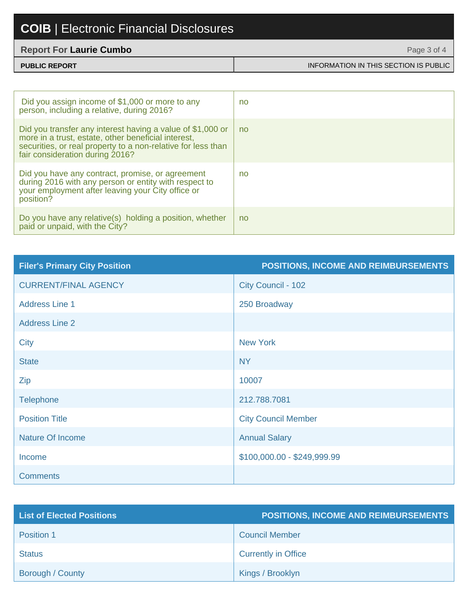#### **Report For Laurie Cumbo**

| <b>Report For Laurie Cumbo</b> | Page 3 of 4                           |
|--------------------------------|---------------------------------------|
| <b>PUBLIC REPORT</b>           | INFORMATION IN THIS SECTION IS PUBLIC |

| Did you assign income of \$1,000 or more to any<br>person, including a relative, during 2016?                                                                                                                        | no |
|----------------------------------------------------------------------------------------------------------------------------------------------------------------------------------------------------------------------|----|
| Did you transfer any interest having a value of \$1,000 or<br>more in a trust, estate, other beneficial interest,<br>securities, or real property to a non-relative for less than<br>fair consideration during 2016? | no |
| Did you have any contract, promise, or agreement<br>during 2016 with any person or entity with respect to<br>your employment after leaving your City office or<br>position?                                          | no |
| Do you have any relative(s) holding a position, whether<br>paid or unpaid, with the City?                                                                                                                            | no |

| <b>Filer's Primary City Position</b> | <b>POSITIONS, INCOME AND REIMBURSEMENTS</b> |
|--------------------------------------|---------------------------------------------|
| <b>CURRENT/FINAL AGENCY</b>          | City Council - 102                          |
| <b>Address Line 1</b>                | 250 Broadway                                |
| <b>Address Line 2</b>                |                                             |
| City                                 | <b>New York</b>                             |
| <b>State</b>                         | <b>NY</b>                                   |
| Zip                                  | 10007                                       |
| <b>Telephone</b>                     | 212.788.7081                                |
| <b>Position Title</b>                | <b>City Council Member</b>                  |
| <b>Nature Of Income</b>              | <b>Annual Salary</b>                        |
| Income                               | \$100,000.00 - \$249,999.99                 |
| <b>Comments</b>                      |                                             |

| <b>List of Elected Positions</b> | <b>POSITIONS, INCOME AND REIMBURSEMENTS</b> |
|----------------------------------|---------------------------------------------|
| Position 1                       | <b>Council Member</b>                       |
| <b>Status</b>                    | <b>Currently in Office</b>                  |
| Borough / County                 | Kings / Brooklyn                            |